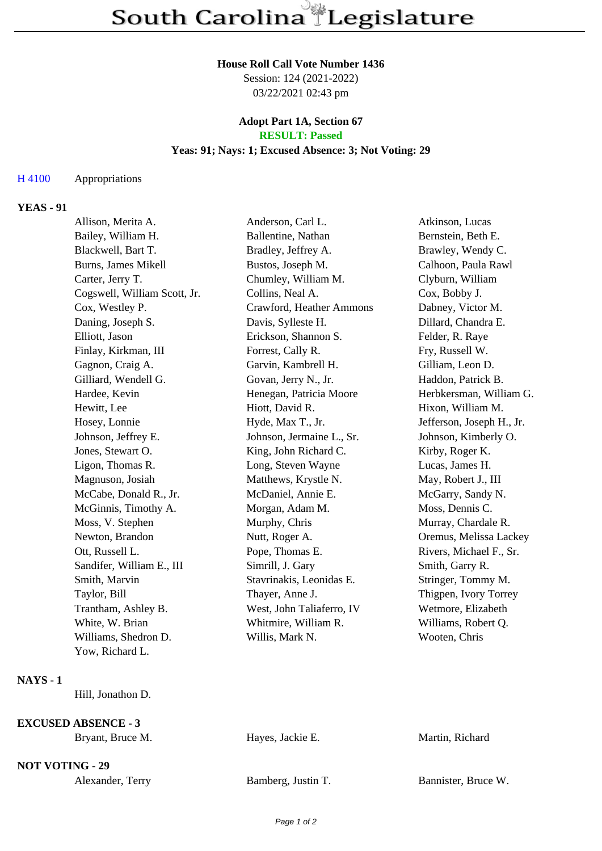#### **House Roll Call Vote Number 1436**

Session: 124 (2021-2022) 03/22/2021 02:43 pm

### **Adopt Part 1A, Section 67 RESULT: Passed**

### **Yeas: 91; Nays: 1; Excused Absence: 3; Not Voting: 29**

# H 4100 Appropriations

## **YEAS - 91**

| Allison, Merita A.           | Anderson, Carl L.         | Atkinson, Lucas           |
|------------------------------|---------------------------|---------------------------|
| Bailey, William H.           | Ballentine, Nathan        | Bernstein, Beth E.        |
| Blackwell, Bart T.           | Bradley, Jeffrey A.       | Brawley, Wendy C.         |
| <b>Burns, James Mikell</b>   | Bustos, Joseph M.         | Calhoon, Paula Rawl       |
| Carter, Jerry T.             | Chumley, William M.       | Clyburn, William          |
| Cogswell, William Scott, Jr. | Collins, Neal A.          | Cox, Bobby J.             |
| Cox, Westley P.              | Crawford, Heather Ammons  | Dabney, Victor M.         |
| Daning, Joseph S.            | Davis, Sylleste H.        | Dillard, Chandra E.       |
| Elliott, Jason               | Erickson, Shannon S.      | Felder, R. Raye           |
| Finlay, Kirkman, III         | Forrest, Cally R.         | Fry, Russell W.           |
| Gagnon, Craig A.             | Garvin, Kambrell H.       | Gilliam, Leon D.          |
| Gilliard, Wendell G.         | Govan, Jerry N., Jr.      | Haddon, Patrick B.        |
| Hardee, Kevin                | Henegan, Patricia Moore   | Herbkersman, William G.   |
| Hewitt, Lee                  | Hiott, David R.           | Hixon, William M.         |
| Hosey, Lonnie                | Hyde, Max T., Jr.         | Jefferson, Joseph H., Jr. |
| Johnson, Jeffrey E.          | Johnson, Jermaine L., Sr. | Johnson, Kimberly O.      |
| Jones, Stewart O.            | King, John Richard C.     | Kirby, Roger K.           |
| Ligon, Thomas R.             | Long, Steven Wayne        | Lucas, James H.           |
| Magnuson, Josiah             | Matthews, Krystle N.      | May, Robert J., III       |
| McCabe, Donald R., Jr.       | McDaniel, Annie E.        | McGarry, Sandy N.         |
| McGinnis, Timothy A.         | Morgan, Adam M.           | Moss, Dennis C.           |
| Moss, V. Stephen             | Murphy, Chris             | Murray, Chardale R.       |
| Newton, Brandon              | Nutt, Roger A.            | Oremus, Melissa Lackey    |
| Ott, Russell L.              | Pope, Thomas E.           | Rivers, Michael F., Sr.   |
| Sandifer, William E., III    | Simrill, J. Gary          | Smith, Garry R.           |
| Smith, Marvin                | Stavrinakis, Leonidas E.  | Stringer, Tommy M.        |
| Taylor, Bill                 | Thayer, Anne J.           | Thigpen, Ivory Torrey     |
| Trantham, Ashley B.          | West, John Taliaferro, IV | Wetmore, Elizabeth        |
| White, W. Brian              | Whitmire, William R.      | Williams, Robert Q.       |
| Williams, Shedron D.         | Willis, Mark N.           | Wooten, Chris             |
| Yow, Richard L.              |                           |                           |
|                              |                           |                           |

### **NAYS - 1**

Hill, Jonathon D.

**EXCUSED ABSENCE - 3**

Hayes, Jackie E. Martin, Richard

**NOT VOTING - 29**

Alexander, Terry Bamberg, Justin T.

| Bannister, Bruce W. |  |  |
|---------------------|--|--|
|---------------------|--|--|